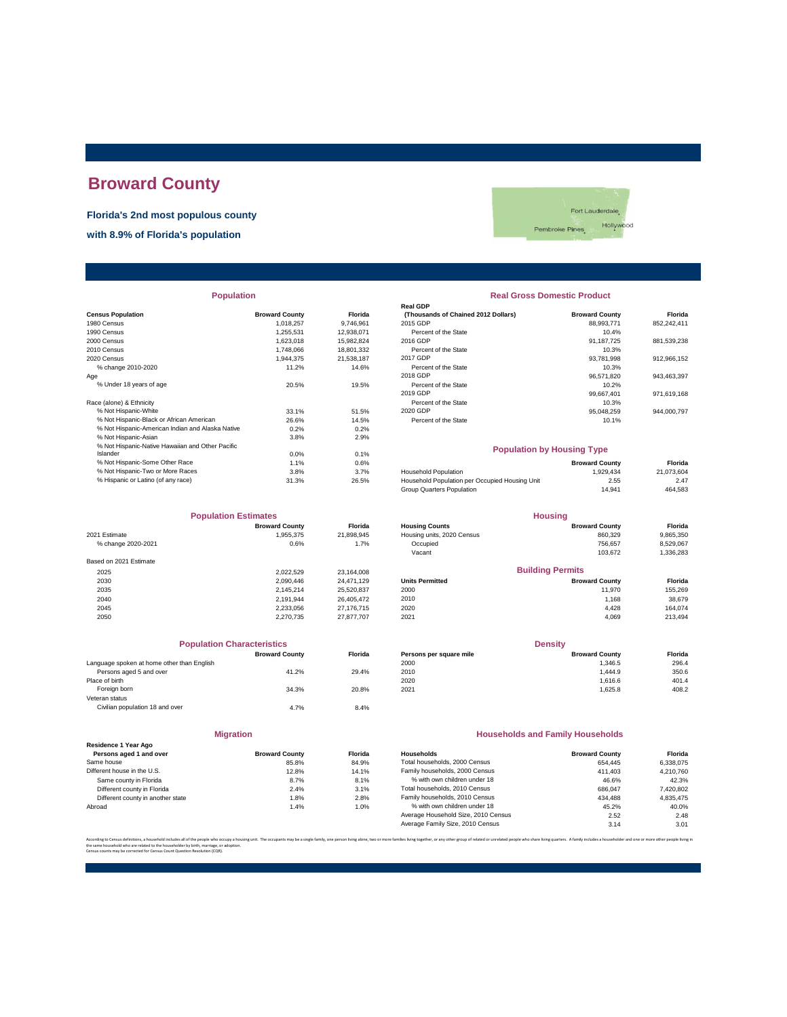# **Broward County**

**Florida's 2nd most populous county**

**with 8.9% of Florida's population**



| <b>Population</b>                                |                       |                | <b>Real Gross Domestic Product</b>             |                       |             |
|--------------------------------------------------|-----------------------|----------------|------------------------------------------------|-----------------------|-------------|
|                                                  |                       |                | <b>Real GDP</b>                                |                       |             |
| <b>Census Population</b>                         | <b>Broward County</b> | <b>Florida</b> | (Thousands of Chained 2012 Dollars)            | <b>Broward County</b> | Florida     |
| 1980 Census                                      | 1,018,257             | 9,746,961      | 2015 GDP                                       | 88,993,771            | 852,242,411 |
| 1990 Census                                      | 1,255,531             | 12,938,071     | Percent of the State                           | 10.4%                 |             |
| 2000 Census                                      | 1.623.018             | 15,982,824     | 2016 GDP                                       | 91.187.725            | 881,539,238 |
| 2010 Census                                      | 1,748,066             | 18,801,332     | Percent of the State                           | 10.3%                 |             |
| 2020 Census                                      | 1.944.375             | 21.538.187     | 2017 GDP                                       | 93.781.998            | 912,966,152 |
| % change 2010-2020                               | 11.2%                 | 14.6%          | Percent of the State                           | 10.3%                 |             |
| Aqe                                              |                       |                | 2018 GDP                                       | 96,571,820            | 943,463,397 |
| % Under 18 years of age                          | 20.5%                 | 19.5%          | Percent of the State                           | 10.2%                 |             |
|                                                  |                       |                | 2019 GDP                                       | 99,667,401            | 971,619,168 |
| Race (alone) & Ethnicity                         |                       |                | Percent of the State                           | 10.3%                 |             |
| % Not Hispanic-White                             | 33.1%                 | 51.5%          | 2020 GDP                                       | 95.048.259            | 944,000,797 |
| % Not Hispanic-Black or African American         | 26.6%                 | 14.5%          | Percent of the State                           | 10.1%                 |             |
| % Not Hispanic-American Indian and Alaska Native | 0.2%                  | 0.2%           |                                                |                       |             |
| % Not Hispanic-Asian                             | 3.8%                  | 2.9%           |                                                |                       |             |
| % Not Hispanic-Native Hawaiian and Other Pacific |                       |                | <b>Population by Housing Type</b>              |                       |             |
| Islander                                         | 0.0%                  | 0.1%           |                                                |                       |             |
| % Not Hispanic-Some Other Race                   | 1.1%                  | 0.6%           |                                                | <b>Broward County</b> | Florida     |
| % Not Hispanic-Two or More Races                 | 3.8%                  | 3.7%           | Household Population                           | 1,929,434             | 21,073,604  |
| % Hispanic or Latino (of any race)               | 31.3%                 | 26.5%          | Household Population per Occupied Housing Unit | 2.55                  | 2.47        |
|                                                  |                       |                |                                                |                       |             |

|                        | <b>Population Estimates</b> |                |                            | <b>Housing</b>          |           |
|------------------------|-----------------------------|----------------|----------------------------|-------------------------|-----------|
|                        | <b>Broward County</b>       | <b>Florida</b> | <b>Housing Counts</b>      | <b>Broward County</b>   | Florida   |
| 2021 Estimate          | 1,955,375                   | 21,898,945     | Housing units, 2020 Census | 860.329                 | 9,865,350 |
| % change 2020-2021     | 0.6%                        | 1.7%           | Occupied                   | 756.657                 | 8,529,067 |
|                        |                             |                | Vacant                     | 103.672                 | 1,336,283 |
| Based on 2021 Estimate |                             |                |                            |                         |           |
| 2025                   | 2.022.529                   | 23,164,008     |                            | <b>Building Permits</b> |           |
| 2030                   | 2.090.446                   | 24.471.129     | <b>Units Permitted</b>     | <b>Broward County</b>   | Florida   |
| 2035                   | 2.145.214                   | 25,520,837     | 2000                       | 11.970                  | 155,269   |
| 2040                   | 2,191,944                   | 26.405.472     | 2010                       | 1.168                   | 38,679    |
| 2045                   | 2.233.056                   | 27.176.715     | 2020                       | 4.428                   | 164.074   |
| 2050                   | 2.270.735                   | 27.877.707     | 2021                       | 4.069                   | 213,494   |

|                                            | <b>Population Characteristics</b> |                |
|--------------------------------------------|-----------------------------------|----------------|
|                                            | <b>Broward County</b>             | <b>Florida</b> |
| Language spoken at home other than English |                                   |                |
| Persons aged 5 and over                    | 41.2%                             | 29.4%          |
| Place of birth                             |                                   |                |
| Foreign born                               | 34.3%                             | 20.8%          |
| Veteran status                             |                                   |                |
| Civilian population 18 and over            | 4.7%                              | 8.4%           |
|                                            |                                   |                |

|                                                 | <b>Migration</b>      |         |  |
|-------------------------------------------------|-----------------------|---------|--|
| Residence 1 Year Ago<br>Persons aged 1 and over | <b>Broward County</b> | Florida |  |
| Same house                                      | 85.8%                 | 84.9%   |  |
| Different house in the U.S.                     | 12.8%                 | 14.1%   |  |
| Same county in Florida                          | 8.7%                  | 8.1%    |  |
| Different county in Florida                     | 2.4%                  | 3.1%    |  |
| Different county in another state               | 1.8%                  | 2.8%    |  |
|                                                 | .                     | .       |  |

# Percent of the State 10.1% Household Population<br>
Household Population per Occupied Housing Unit<br>
Group Quarters Population<br>
2.55 2.47% 2.7% 2.8% 2.47% 464,583<br>
2.7% 14,941 % Hispanic or Latino (of any race) 31.3% 26.5% Household Population per Occupied Housing Unit 2.55 2.47 Group Quarters Population 14,941 464,583 **Housing Population by Housing Type**

|                        | <b>Broward County</b> | <b>Florida</b> | <b>Housing Counts</b>      | <b>Broward County</b>   | Florida   |
|------------------------|-----------------------|----------------|----------------------------|-------------------------|-----------|
| 2021 Estimate          | 1.955.375             | 21.898.945     | Housing units, 2020 Census | 860.329                 | 9,865,350 |
| % change 2020-2021     | 0.6%                  | 1.7%           | Occupied                   | 756.657                 | 8.529.067 |
|                        |                       |                | Vacant                     | 103.672                 | 1,336,283 |
| Based on 2021 Estimate |                       |                |                            |                         |           |
| 2025                   | 2.022.529             | 23.164.008     |                            | <b>Building Permits</b> |           |
| 2030                   | 2.090.446             | 24.471.129     | <b>Units Permitted</b>     | <b>Broward County</b>   | Florida   |
| 2035                   | 2.145.214             | 25,520,837     | 2000                       | 11.970                  | 155.269   |
| 2040                   | 2.191.944             | 26.405.472     | 2010                       | 1,168                   | 38,679    |
| 2045                   | 2,233,056             | 27.176.715     | 2020                       | 4.428                   | 164.074   |
| 0.055                  | 0.07070               | 070777207      | 0.001                      | 1000                    | 0.10.10.1 |

| <b>Population Characteristics</b>          |                       |                |                         | <b>Density</b>        |                |
|--------------------------------------------|-----------------------|----------------|-------------------------|-----------------------|----------------|
|                                            | <b>Broward County</b> | <b>Florida</b> | Persons per square mile | <b>Broward County</b> | <b>Florida</b> |
| Language spoken at home other than English |                       |                | 2000                    | 1.346.5               | 296.4          |
| Persons aged 5 and over                    | 41.2%                 | 29.4%          | 2010                    | 1.444.9               | 350.6          |
| Place of birth                             |                       |                | 2020                    | 1.616.6               | 401.4          |
| Foreign born                               | 34.3%                 | 20.8%          | 2021                    | 1.625.8               | 408.2          |
|                                            |                       |                |                         |                       |                |

#### **Households and Family Households**

| Residence 1 Year Ago              |                       |                |                                     |                       |           |
|-----------------------------------|-----------------------|----------------|-------------------------------------|-----------------------|-----------|
| Persons aged 1 and over           | <b>Broward County</b> | <b>Florida</b> | Households                          | <b>Broward County</b> | Florida   |
| Same house                        | 85.8%                 | 84.9%          | Total households, 2000 Census       | 654.445               | 6.338.075 |
| Different house in the U.S.       | 12.8%                 | 14.1%          | Family households, 2000 Census      | 411.403               | 4.210.760 |
| Same county in Florida            | 8.7%                  | 8.1%           | % with own children under 18        | 46.6%                 | 42.3%     |
| Different county in Florida       | 2.4%                  | 3.1%           | Total households, 2010 Census       | 686,047               | 7,420,802 |
| Different county in another state | 1.8%                  | 2.8%           | Family households, 2010 Census      | 434.488               | 4.835.475 |
| Abroad                            | 1.4%                  | 1.0%           | % with own children under 18        | 45.2%                 | 40.0%     |
|                                   |                       |                | Average Household Size, 2010 Census | 2.52                  | 2.48      |
|                                   |                       |                | Average Family Size, 2010 Census    | 3.14                  | 3.01      |
|                                   |                       |                |                                     |                       |           |

.<br>In families living together, or any other group of related or unrelated people who share living quarters. A family includes a householder and one or more other people li the same household who are related to the householder by birth, marriage, or adoption. Census counts may be corrected for Census Count Question Resolution (CQR).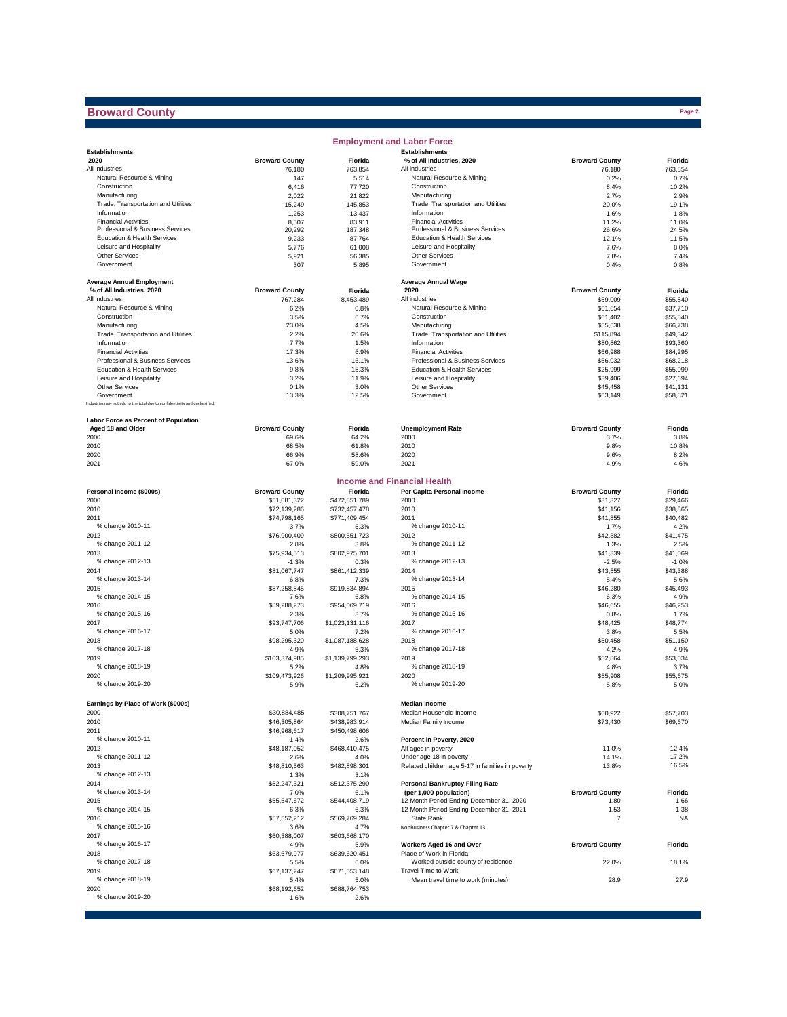## **Broward County**

|                                                                              |                       |                       | <b>Employment and Labor Force</b>                |                       |                      |
|------------------------------------------------------------------------------|-----------------------|-----------------------|--------------------------------------------------|-----------------------|----------------------|
| <b>Establishments</b>                                                        |                       |                       | <b>Establishments</b>                            |                       |                      |
| 2020                                                                         | <b>Broward County</b> | Florida               | % of All Industries, 2020                        | <b>Broward County</b> | Florida              |
| All industries                                                               | 76,180                | 763,854               | All industries                                   | 76,180                | 763,854              |
| Natural Resource & Mining                                                    | 147                   | 5,514                 | Natural Resource & Mining                        | 0.2%                  | 0.7%                 |
| Construction<br>Manufacturing                                                | 6,416<br>2,022        | 77,720<br>21,822      | Construction<br>Manufacturing                    | 8.4%<br>2.7%          | 10.2%<br>2.9%        |
| Trade, Transportation and Utilities                                          | 15,249                | 145.853               | Trade, Transportation and Utilities              | 20.0%                 | 19.1%                |
| Information                                                                  | 1,253                 | 13,437                | Information                                      | 1.6%                  | 1.8%                 |
| <b>Financial Activities</b>                                                  | 8,507                 | 83,911                | <b>Financial Activities</b>                      | 11.2%                 | 11.0%                |
| Professional & Business Services                                             | 20,292                | 187,348               | Professional & Business Services                 | 26.6%                 | 24.5%                |
| Education & Health Services                                                  | 9,233                 | 87,764                | Education & Health Services                      | 12.1%                 | 11.5%                |
| Leisure and Hospitality                                                      | 5,776                 | 61,008                | Leisure and Hospitality                          | 7.6%                  | 8.0%                 |
| <b>Other Services</b>                                                        | 5,921                 | 56,385                | Other Services                                   | 7.8%                  | 7.4%                 |
| Government                                                                   | 307                   | 5,895                 | Government                                       | 0.4%                  | 0.8%                 |
|                                                                              |                       |                       |                                                  |                       |                      |
| <b>Average Annual Employment</b>                                             |                       |                       | <b>Average Annual Wage</b>                       |                       |                      |
| % of All Industries, 2020                                                    | <b>Broward County</b> | Florida               | 2020                                             | <b>Broward County</b> | Florida              |
| All industries                                                               | 767,284               | 8,453,489             | All industries                                   | \$59,009              | \$55,840             |
| Natural Resource & Mining                                                    | 6.2%                  | 0.8%                  | Natural Resource & Mining                        | \$61,654              | \$37,710             |
| Construction                                                                 | 3.5%                  | 6.7%                  | Construction                                     | \$61,402              | \$55,840             |
| Manufacturing                                                                | 23.0%                 | 4.5%                  | Manufacturing                                    | \$55,638              | \$66,738             |
| Trade, Transportation and Utilities                                          | 2.2%                  | 20.6%                 | Trade, Transportation and Utilities              | \$115,894             | \$49,342             |
| Information                                                                  | 7.7%                  | 1.5%                  | Information                                      | \$80,862              | \$93,360             |
| <b>Financial Activities</b>                                                  | 17.3%                 | 6.9%                  | <b>Financial Activities</b>                      | \$66,988              | \$84,295             |
| Professional & Business Services                                             | 13.6%                 | 16.1%                 | Professional & Business Services                 | \$56,032              | \$68,218             |
| Education & Health Services                                                  | 9.8%                  | 15.3%                 | Education & Health Services                      | \$25,999              | \$55,099             |
| Leisure and Hospitality                                                      | 3.2%                  | 11.9%                 | Leisure and Hospitality<br>Other Services        | \$39,406              | \$27,694             |
| <b>Other Services</b><br>Government                                          | 0.1%<br>13.3%         | 3.0%<br>12.5%         | Government                                       | \$45,458<br>\$63,149  | \$41,131<br>\$58,821 |
| Industries may not add to the total due to confidentiality and unclassified. |                       |                       |                                                  |                       |                      |
|                                                                              |                       |                       |                                                  |                       |                      |
| Labor Force as Percent of Population                                         |                       |                       |                                                  |                       |                      |
| Aged 18 and Older                                                            | <b>Broward County</b> | Florida               | <b>Unemployment Rate</b>                         | <b>Broward County</b> | Florida              |
| 2000                                                                         | 69.6%                 | 64.2%                 | 2000                                             | 3.7%                  | 3.8%                 |
| 2010                                                                         | 68.5%                 | 61.8%                 | 2010                                             | 9.8%                  | 10.8%                |
| 2020                                                                         | 66.9%                 | 58.6%                 | 2020                                             | 9.6%                  | 8.2%                 |
| 2021                                                                         | 67.0%                 | 59.0%                 | 2021                                             | 4.9%                  | 4.6%                 |
|                                                                              |                       |                       |                                                  |                       |                      |
|                                                                              |                       |                       | <b>Income and Financial Health</b>               |                       |                      |
| Personal Income (\$000s)                                                     | <b>Broward County</b> | Florida               | Per Capita Personal Income                       | <b>Broward County</b> | Florida              |
| 2000                                                                         | \$51,081,322          | \$472,851,789         | 2000                                             | \$31,327              | \$29,466             |
| 2010                                                                         | \$72,139,286          | \$732,457,478         | 2010                                             | \$41,156              | \$38,865             |
| 2011                                                                         | \$74,798,165          | \$771,409,454         | 2011                                             | \$41,855              | \$40,482             |
| % change 2010-11                                                             | 3.7%                  | 5.3%                  | % change 2010-11                                 | 1.7%                  | 4.2%                 |
| 2012                                                                         | \$76,900,409          | \$800,551,723         | 2012                                             | \$42,382              | \$41,475             |
| % change 2011-12                                                             | 2.8%                  | 3.8%                  | % change 2011-12                                 | 1.3%                  | 2.5%                 |
| 2013                                                                         | \$75,934,513          | \$802,975,701         | 2013                                             | \$41,339              | \$41,069             |
| % change 2012-13                                                             | $-1.3%$               | 0.3%                  | % change 2012-13                                 | $-2.5%$               | $-1.0%$              |
| 2014                                                                         | \$81,067,747          | \$861,412,339         | 2014                                             | \$43,555              | \$43,388             |
| % change 2013-14                                                             | 6.8%                  | 7.3%                  | % change 2013-14                                 | 5.4%                  | 5.6%                 |
| 2015                                                                         | \$87,258,845          | \$919,834,894         | 2015                                             | \$46,280              | \$45,493             |
| % change 2014-15                                                             | 7.6%                  | 6.8%                  | % change 2014-15                                 | 6.3%                  | 4.9%                 |
| 2016                                                                         | \$89,288,273          | \$954,069,719         | 2016                                             | \$46,655              | \$46,253             |
| % change 2015-16                                                             | 2.3%                  | 3.7%                  | % change 2015-16                                 | 0.8%                  | 1.7%                 |
| 2017                                                                         | \$93,747,706          | \$1,023,131,116       | 2017                                             | \$48,425              | \$48,774             |
| % change 2016-17                                                             | 5.0%                  | 7.2%                  | % change 2016-17                                 | 3.8%                  | 5.5%                 |
| 2018                                                                         | \$98,295,320          | \$1,087,188,628       | 2018                                             | \$50,458              | \$51,150             |
| % change 2017-18                                                             | 4.9%                  | 6.3%                  | % change 2017-18                                 | 4.2%                  | 4.9%                 |
| 2019                                                                         | \$103,374,985         | \$1,139,799,293       | 2019                                             | \$52,864              | \$53,034             |
| % change 2018-19                                                             | 5.2%                  | 4.8%                  | % change 2018-19                                 | 4.8%                  | 3.7%                 |
| 2020                                                                         | \$109,473,926         | \$1,209,995,921       | 2020                                             | \$55,908              | \$55,675             |
| % change 2019-20                                                             | 5.9%                  | 6.2%                  | % change 2019-20                                 | 5.8%                  | 5.0%                 |
|                                                                              |                       |                       |                                                  |                       |                      |
| Earnings by Place of Work (\$000s)                                           |                       |                       | <b>Median Income</b>                             |                       |                      |
| 2000                                                                         | \$30,884,485          | \$308,751,767         | Median Household Income                          | \$60,922              | \$57,703             |
| 2010                                                                         | \$46,305,864          | \$438,983,914         | Median Family Income                             | \$73,430              | \$69,670             |
| 2011                                                                         | \$46,968,617          | \$450,498,606         |                                                  |                       |                      |
| % change 2010-11                                                             | 1.4%                  | 2.6%                  | Percent in Poverty, 2020                         |                       |                      |
| 2012                                                                         | \$48,187,052          | \$468,410,475         | All ages in poverty                              | 11.0%                 | 12.4%                |
| % change 2011-12                                                             | 2.6%                  | 4.0%                  | Under age 18 in poverty                          | 14.1%                 | 17.2%                |
| 2013                                                                         | \$48,810,563          | \$482,898,301         | Related children age 5-17 in families in poverty | 13.8%                 | 16.5%                |
| % change 2012-13                                                             | 1.3%                  | 3.1%                  |                                                  |                       |                      |
| 2014                                                                         | \$52,247,321          | \$512,375,290         | <b>Personal Bankruptcy Filing Rate</b>           |                       |                      |
| % change 2013-14                                                             | 7.0%                  | 6.1%                  | (per 1,000 population)                           | <b>Broward County</b> | Florida              |
| 2015                                                                         | \$55,547,672          | \$544,408,719         | 12-Month Period Ending December 31, 2020         | 1.80                  | 1.66                 |
| % change 2014-15                                                             | 6.3%                  | 6.3%                  | 12-Month Period Ending December 31, 2021         | 1.53                  | 1.38                 |
| 2016                                                                         | \$57,552,212          | \$569,769,284         | State Rank                                       | 7                     | <b>NA</b>            |
| % change 2015-16                                                             | 3.6%                  | 4.7%                  | NonBusiness Chapter 7 & Chapter 13               |                       |                      |
| 2017<br>% change 2016-17                                                     | \$60,388,007          | \$603,668,170         | Workers Aged 16 and Over                         |                       |                      |
|                                                                              | 4.9%                  | 5.9%                  | Place of Work in Florida                         | <b>Broward County</b> | Florida              |
| 2018<br>% change 2017-18                                                     | \$63,679,977          | \$639,620,451         | Worked outside county of residence               |                       |                      |
| 2019                                                                         | 5.5%<br>\$67,137,247  | 6.0%<br>\$671,553,148 | Travel Time to Work                              | 22.0%                 | 18.1%                |
| % change 2018-19                                                             |                       |                       |                                                  |                       |                      |
| 2020                                                                         | 5.4%                  | 5.0%                  | Mean travel time to work (minutes)               | 28.9                  | 27.9                 |
| % change 2019-20                                                             | \$68,192,652<br>1.6%  | \$688,764,753<br>2.6% |                                                  |                       |                      |
|                                                                              |                       |                       |                                                  |                       |                      |